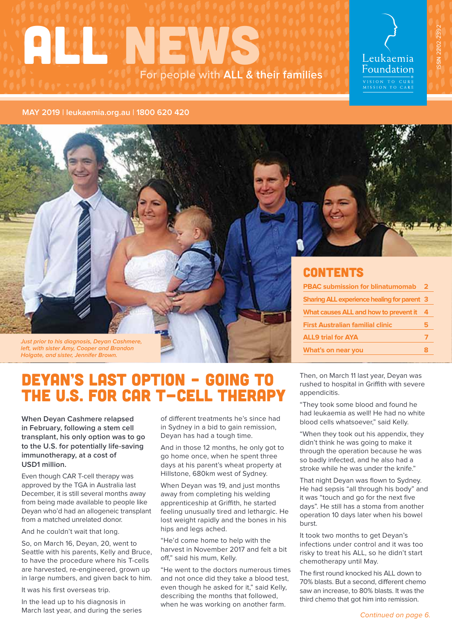# **ALL WEWS For people with ALL & their families**

Leukaemia Foundation &<br>VISION TO CURE<br>MISSION TO CARE

ISSN 2202-2392 ISSN 2202-2392



**Just prior to his diagnosis, Deyan Cashmere, left, with sister Amy, Cooper and Brandon Holgate, and sister, Jennifer Brown.**

# **CONTENTS**

| <b>PBAC submission for blinatumomab</b>            | $\mathbf{2}$ |
|----------------------------------------------------|--------------|
| <b>Sharing ALL experience healing for parent 3</b> |              |
| What causes ALL and how to prevent it              | 4            |
| <b>First Australian familial clinic</b>            | 5            |
| <b>ALL9 trial for AYA</b>                          |              |
| What's on near you                                 |              |

# DEYAN'S LAST OPTION – GOING TO THE U.S. FOR CAR T-CELL THERAPY

**When Deyan Cashmere relapsed in February, following a stem cell transplant, his only option was to go to the U.S. for potentially life-saving immunotherapy, at a cost of USD1 million.**

Even though CAR T-cell therapy was approved by the TGA in Australia last December, it is still several months away from being made available to people like Deyan who'd had an allogeneic transplant from a matched unrelated donor.

And he couldn't wait that long.

So, on March 16, Deyan, 20, went to Seattle with his parents, Kelly and Bruce, to have the procedure where his T-cells are harvested, re-engineered, grown up in large numbers, and given back to him.

It was his first overseas trip.

In the lead up to his diagnosis in March last year, and during the series of different treatments he's since had in Sydney in a bid to gain remission, Deyan has had a tough time.

And in those 12 months, he only got to go home once, when he spent three days at his parent's wheat property at Hillstone, 680km west of Sydney.

When Deyan was 19, and just months away from completing his welding apprenticeship at Griffith, he started feeling unusually tired and lethargic. He lost weight rapidly and the bones in his hips and legs ached.

"He'd come home to help with the harvest in November 2017 and felt a bit off," said his mum, Kelly.

"He went to the doctors numerous times and not once did they take a blood test, even though he asked for it," said Kelly, describing the months that followed, when he was working on another farm.

Then, on March 11 last year, Deyan was rushed to hospital in Griffith with severe appendicitis.

"They took some blood and found he had leukaemia as well! He had no white blood cells whatsoever," said Kelly.

"When they took out his appendix, they didn't think he was going to make it through the operation because he was so badly infected, and he also had a stroke while he was under the knife."

That night Deyan was flown to Sydney. He had sepsis "all through his body" and it was "touch and go for the next five days". He still has a stoma from another operation 10 days later when his bowel burst.

It took two months to get Deyan's infections under control and it was too risky to treat his ALL, so he didn't start chemotherapy until May.

The first round knocked his ALL down to 70% blasts. But a second, different chemo saw an increase, to 80% blasts. It was the third chemo that got him into remission.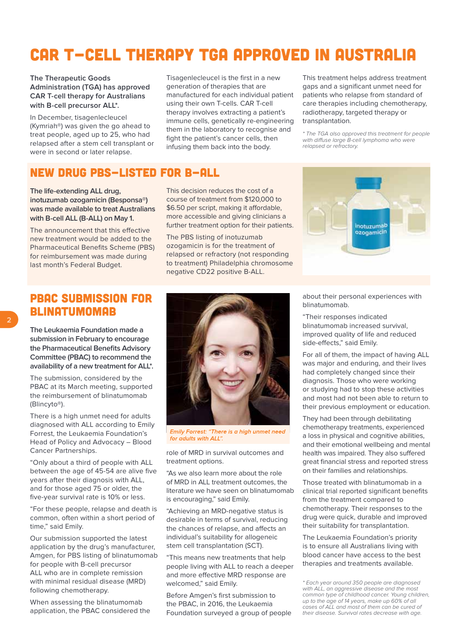# CAR T-CELL THERAPY TGA APPROVED IN AUSTRALIA

**The Therapeutic Goods Administration (TGA) has approved CAR T-cell therapy for Australians with B-cell precursor ALL\*.** 

In December, tisagenlecleucel (Kymriah®) was given the go ahead to treat people, aged up to 25, who had relapsed after a stem cell transplant or were in second or later relapse.

Tisagenlecleucel is the first in a new generation of therapies that are manufactured for each individual patient using their own T-cells. CAR T-cell therapy involves extracting a patient's immune cells, genetically re-engineering them in the laboratory to recognise and fight the patient's cancer cells, then infusing them back into the body.

This treatment helps address treatment gaps and a significant unmet need for patients who relapse from standard of care therapies including chemotherapy, radiotherapy, targeted therapy or transplantation.

\* The TGA also approved this treatment for people with diffuse large B-cell lymphoma who were relapsed or refractory.

### NEW DRUG PBS-LISTED FOR B-ALL

**The life-extending ALL drug, inotuzumab ozogamicin (Besponsa®) was made available to treat Australians with B-cell ALL (B-ALL) on May 1.**

The announcement that this effective new treatment would be added to the Pharmaceutical Benefits Scheme (PBS) for reimbursement was made during last month's Federal Budget.

This decision reduces the cost of a course of treatment from \$120,000 to \$6.50 per script, making it affordable, more accessible and giving clinicians a further treatment option for their patients.

The PBS listing of inotuzumab ozogamicin is for the treatment of relapsed or refractory (not responding to treatment) Philadelphia chromosome negative CD22 positive B-ALL.



# PBAC SUBMISSION FOR **BLINATUMOMAR**

**The Leukaemia Foundation made a submission in February to encourage the Pharmaceutical Benefits Advisory Committee (PBAC) to recommend the availability of a new treatment for ALL\*.** 

The submission, considered by the PBAC at its March meeting, supported the reimbursement of blinatumomab (Blincyto®).

There is a high unmet need for adults diagnosed with ALL according to Emily Forrest, the Leukaemia Foundation's Head of Policy and Advocacy – Blood Cancer Partnerships.

"Only about a third of people with ALL between the age of 45-54 are alive five years after their diagnosis with ALL, and for those aged 75 or older, the five-year survival rate is 10% or less.

"For these people, relapse and death is common, often within a short period of time," said Emily.

Our submission supported the latest application by the drug's manufacturer, Amgen, for PBS listing of blinatumomab for people with B-cell precursor ALL who are in complete remission with minimal residual disease (MRD) following chemotherapy.

When assessing the blinatumomab application, the PBAC considered the



Emily Forrest: "There is a high unmet need for adults with  $\Delta U$ "

role of MRD in survival outcomes and treatment options.

"As we also learn more about the role of MRD in ALL treatment outcomes, the literature we have seen on blinatumomab is encouraging," said Emily.

"Achieving an MRD-negative status is desirable in terms of survival, reducing the chances of relapse, and affects an individual's suitability for allogeneic stem cell transplantation (SCT).

"This means new treatments that help people living with ALL to reach a deeper and more effective MRD response are welcomed," said Emily.

Before Amgen's first submission to the PBAC, in 2016, the Leukaemia Foundation surveyed a group of people

about their personal experiences with blinatumomab.

"Their responses indicated blinatumomab increased survival, improved quality of life and reduced side-effects," said Emily.

For all of them, the impact of having ALL was major and enduring, and their lives had completely changed since their diagnosis. Those who were working or studying had to stop these activities and most had not been able to return to their previous employment or education.

They had been through debilitating chemotherapy treatments, experienced a loss in physical and cognitive abilities, and their emotional wellbeing and mental health was impaired. They also suffered great financial stress and reported stress on their families and relationships.

Those treated with blinatumomab in a clinical trial reported significant benefits from the treatment compared to chemotherapy. Their responses to the drug were quick, durable and improved their suitability for transplantation.

The Leukaemia Foundation's priority is to ensure all Australians living with blood cancer have access to the best therapies and treatments available.

<sup>\*</sup> Each year around 350 people are diagnosed with ALL, an aggressive disease and the most common type of childhood cancer. Young children, up to the age of 14 years, make up 60% of all cases of ALL and most of them can be cured of their disease. Survival rates decrease with age.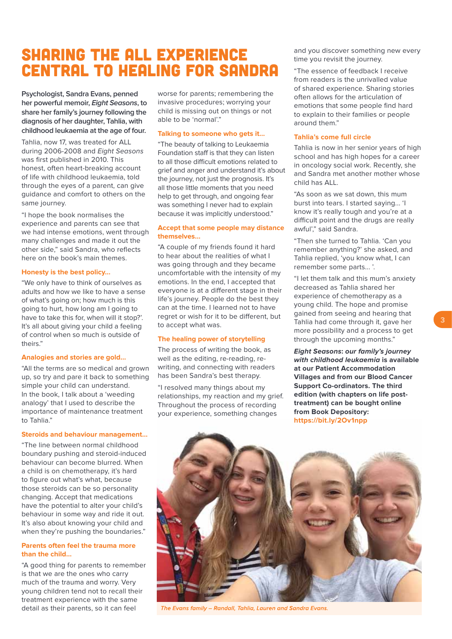# SHARING THE ALL EXPERIENCE CENTRAL TO HEALING FOR SANDRA

**Psychologist, Sandra Evans, penned her powerful memoir, Eight Seasons, to share her family's journey following the diagnosis of her daughter, Tahlia, with childhood leukaemia at the age of four.** 

Tahlia, now 17, was treated for ALL during 2006-2008 and Eight Seasons was first published in 2010. This honest, often heart-breaking account of life with childhood leukaemia, told through the eyes of a parent, can give guidance and comfort to others on the same journey.

"I hope the book normalises the experience and parents can see that we had intense emotions, went through many challenges and made it out the other side," said Sandra, who reflects here on the book's main themes.

#### **Honesty is the best policy…**

"We only have to think of ourselves as adults and how we like to have a sense of what's going on; how much is this going to hurt, how long am I going to have to take this for, when will it stop?'. It's all about giving your child a feeling of control when so much is outside of theirs."

#### **Analogies and stories are gold…**

"All the terms are so medical and grown up, so try and pare it back to something simple your child can understand. In the book, I talk about a 'weeding analogy' that I used to describe the importance of maintenance treatment to Tahlia."

#### **Steroids and behaviour management…**

"The line between normal childhood boundary pushing and steroid-induced behaviour can become blurred. When a child is on chemotherapy, it's hard to figure out what's what, because those steroids can be so personality changing. Accept that medications have the potential to alter your child's behaviour in some way and ride it out. It's also about knowing your child and when they're pushing the boundaries."

### **Parents often feel the trauma more than the child…**

"A good thing for parents to remember is that we are the ones who carry much of the trauma and worry. Very young children tend not to recall their treatment experience with the same detail as their parents, so it can feel

worse for parents; remembering the invasive procedures; worrying your child is missing out on things or not able to be 'normal'."

#### **Talking to someone who gets it…**

"The beauty of talking to Leukaemia Foundation staff is that they can listen to all those difficult emotions related to grief and anger and understand it's about the journey, not just the prognosis. It's all those little moments that you need help to get through, and ongoing fear was something I never had to explain because it was implicitly understood."

### **Accept that some people may distance themselves…**

"A couple of my friends found it hard to hear about the realities of what I was going through and they became uncomfortable with the intensity of my emotions. In the end, I accepted that everyone is at a different stage in their life's journey. People do the best they can at the time. I learned not to have regret or wish for it to be different, but to accept what was.

### **The healing power of storytelling**

The process of writing the book, as well as the editing, re-reading, rewriting, and connecting with readers has been Sandra's best therapy.

"I resolved many things about my relationships, my reaction and my grief. Throughout the process of recording your experience, something changes

and you discover something new every time you revisit the journey.

"The essence of feedback I receive from readers is the unrivalled value of shared experience. Sharing stories often allows for the articulation of emotions that some people find hard to explain to their families or people around them."

### **Tahlia's come full circle**

Tahlia is now in her senior years of high school and has high hopes for a career in oncology social work. Recently, she and Sandra met another mother whose child has ALL.

"As soon as we sat down, this mum burst into tears. I started saying... 'I know it's really tough and you're at a difficult point and the drugs are really awful'," said Sandra.

"Then she turned to Tahlia. 'Can you remember anything?' she asked, and Tahlia replied, 'you know what, I can remember some parts... '.

"I let them talk and this mum's anxiety decreased as Tahlia shared her experience of chemotherapy as a young child. The hope and promise gained from seeing and hearing that Tahlia had come through it, gave her more possibility and a process to get through the upcoming months."

**Eight Seasons: our family's journey with childhood leukaemia is available at our Patient Accommodation Villages and from our Blood Cancer Support Co-ordinators. The third edition (with chapters on life posttreatment) can be bought online from Book Depository: <https://bit.ly/2Ov1npp>**



The Evans family - Randall, Tahlia, Lauren and Sandra Evans.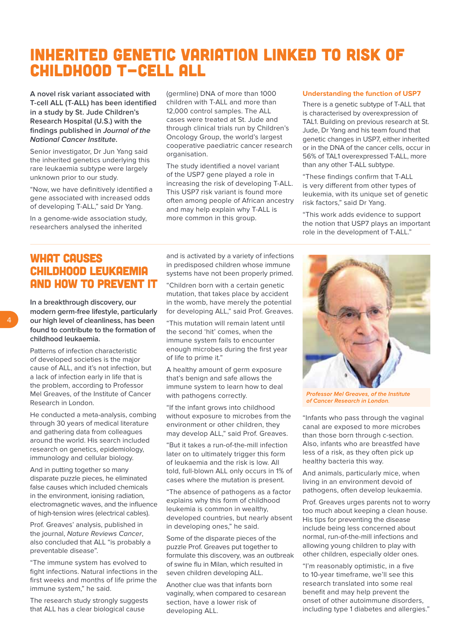# INHERITED GENETIC VARIATION LINKED TO RISK OF CHILDHOOD T-CELL ALL

**A novel risk variant associated with T-cell ALL (T-ALL) has been identified in a study by St. Jude Children's Research Hospital (U.S.) with the findings published in Journal of the National Cancer Institute.**

Senior investigator, Dr Jun Yang said the inherited genetics underlying this rare leukaemia subtype were largely unknown prior to our study.

"Now, we have definitively identified a gene associated with increased odds of developing T-ALL," said Dr Yang.

In a genome-wide association study, researchers analysed the inherited

(germline) DNA of more than 1000 children with T-ALL and more than 12,000 control samples. The ALL cases were treated at St. Jude and through clinical trials run by Children's Oncology Group, the world's largest cooperative paediatric cancer research organisation.

The study identified a novel variant of the USP7 gene played a role in increasing the risk of developing T-ALL. This USP7 risk variant is found more often among people of African ancestry and may help explain why T-ALL is more common in this group.

### **Understanding the function of USP7**

There is a genetic subtype of T-ALL that is characterised by overexpression of TAL1. Building on previous research at St. Jude, Dr Yang and his team found that genetic changes in USP7, either inherited or in the DNA of the cancer cells, occur in 56% of TAL1 overexpressed T-ALL, more than any other T-ALL subtype.

"These findings confirm that T-ALL is very different from other types of leukemia, with its unique set of genetic risk factors," said Dr Yang.

"This work adds evidence to support the notion that USP7 plays an important role in the development of T-ALL."

# WHAT CAUSES CHILDHOOD LEUKAEMIA AND HOW TO PREVENT IT

**In a breakthrough discovery, our modern germ-free lifestyle, particularly our high level of cleanliness, has been found to contribute to the formation of childhood leukaemia.**

Patterns of infection characteristic of developed societies is the major cause of ALL, and it's not infection, but a lack of infection early in life that is the problem, according to Professor Mel Greaves, of the Institute of Cancer Research in London.

He conducted a meta-analysis, combing through 30 years of medical literature and gathering data from colleagues around the world. His search included research on genetics, epidemiology, immunology and cellular biology.

And in putting together so many disparate puzzle pieces, he eliminated false causes which included chemicals in the environment, ionising radiation, electromagnetic waves, and the influence of high-tension wires (electrical cables).

Prof. Greaves' analysis, published in the journal, Nature Reviews Cancer, also concluded that ALL "is probably a preventable disease".

"The immune system has evolved to fight infections. Natural infections in the first weeks and months of life prime the immune system," he said.

The research study strongly suggests that ALL has a clear biological cause

and is activated by a variety of infections in predisposed children whose immune systems have not been properly primed.

"Children born with a certain genetic mutation, that takes place by accident in the womb, have merely the potential for developing ALL," said Prof. Greaves.

"This mutation will remain latent until the second 'hit' comes, when the immune system fails to encounter enough microbes during the first year of life to prime it."

A healthy amount of germ exposure that's benign and safe allows the immune system to learn how to deal with pathogens correctly.

"If the infant grows into childhood without exposure to microbes from the environment or other children, they may develop ALL," said Prof. Greaves.

"But it takes a run-of-the-mill infection later on to ultimately trigger this form of leukaemia and the risk is low. All told, full-blown ALL only occurs in 1% of cases where the mutation is present.

"The absence of pathogens as a factor explains why this form of childhood leukemia is common in wealthy, developed countries, but nearly absent in developing ones," he said.

Some of the disparate pieces of the puzzle Prof. Greaves put together to formulate this discovery, was an outbreak of swine flu in Milan, which resulted in seven children developing ALL.

Another clue was that infants born vaginally, when compared to cesarean section, have a lower risk of developing ALL.



Professor Mel Greaves, of the Institute of Cancer Research in London.

"Infants who pass through the vaginal canal are exposed to more microbes than those born through c-section. Also, infants who are breastfed have less of a risk, as they often pick up healthy bacteria this way.

And animals, particularly mice, when living in an environment devoid of pathogens, often develop leukaemia.

Prof. Greaves urges parents not to worry too much about keeping a clean house. His tips for preventing the disease include being less concerned about normal, run-of-the-mill infections and allowing young children to play with other children, especially older ones.

"I'm reasonably optimistic, in a five to 10-year timeframe, we'll see this research translated into some real benefit and may help prevent the onset of other autoimmune disorders, including type 1 diabetes and allergies."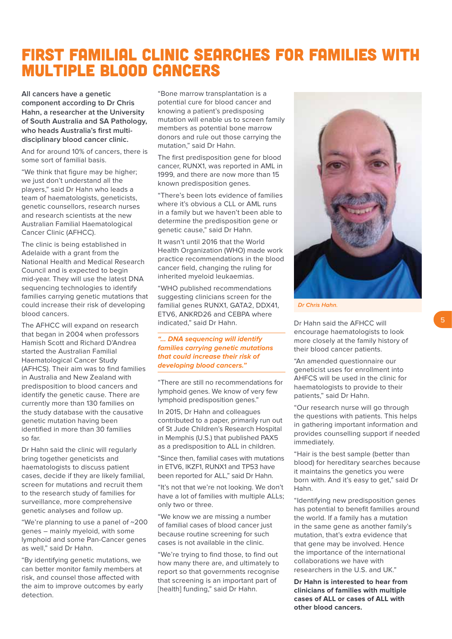# FIRST FAMILIAL CLINIC SEARCHES FOR FAMILIES WITH MULTIPLE BLOOD CANCERS

**All cancers have a genetic component according to Dr Chris Hahn, a researcher at the University of South Australia and SA Pathology, who heads Australia's first multidisciplinary blood cancer clinic.**

And for around 10% of cancers, there is some sort of familial basis.

"We think that figure may be higher; we just don't understand all the players," said Dr Hahn who leads a team of haematologists, geneticists, genetic counsellors, research nurses and research scientists at the new Australian Familial Haematological Cancer Clinic (AFHCC).

The clinic is being established in Adelaide with a grant from the National Health and Medical Research Council and is expected to begin mid-year. They will use the latest DNA sequencing technologies to identify families carrying genetic mutations that could increase their risk of developing blood cancers.

The AFHCC will expand on research that began in 2004 when professors Hamish Scott and Richard D'Andrea started the Australian Familial Haematological Cancer Study (AFHCS). Their aim was to find families in Australia and New Zealand with predisposition to blood cancers and identify the genetic cause. There are currently more than 130 families on the study database with the causative genetic mutation having been identified in more than 30 families so far.

Dr Hahn said the clinic will regularly bring together geneticists and haematologists to discuss patient cases, decide if they are likely familial, screen for mutations and recruit them to the research study of families for surveillance, more comprehensive genetic analyses and follow up.

"We're planning to use a panel of ~200 genes – mainly myeloid, with some lymphoid and some Pan-Cancer genes as well," said Dr Hahn.

"By identifying genetic mutations, we can better monitor family members at risk, and counsel those affected with the aim to improve outcomes by early detection.

"Bone marrow transplantation is a potential cure for blood cancer and knowing a patient's predisposing mutation will enable us to screen family members as potential bone marrow donors and rule out those carrying the mutation," said Dr Hahn.

The first predisposition gene for blood cancer, RUNX1, was reported in AML in 1999, and there are now more than 15 known predisposition genes.

"There's been lots evidence of families where it's obvious a CLL or AML runs in a family but we haven't been able to determine the predisposition gene or genetic cause," said Dr Hahn.

It wasn't until 2016 that the World Health Organization (WHO) made work practice recommendations in the blood cancer field, changing the ruling for inherited myeloid leukaemias.

"WHO published recommendations suggesting clinicians screen for the familial genes RUNX1, GATA2, DDX41, ETV6, ANKRD26 and CEBPA where indicated," said Dr Hahn.

### **"… DNA sequencing will identify families carrying genetic mutations that could increase their risk of developing blood cancers."**

"There are still no recommendations for lymphoid genes. We know of very few lymphoid predisposition genes."

In 2015, Dr Hahn and colleagues contributed to a paper, primarily run out of St Jude Children's Research Hospital in Memphis (U.S.) that published PAX5 as a predisposition to ALL in children.

"Since then, familial cases with mutations in ETV6, IKZF1, RUNX1 and TP53 have been reported for ALL," said Dr Hahn.

"It's not that we're not looking. We don't have a lot of families with multiple ALLs; only two or three.

"We know we are missing a number of familial cases of blood cancer just because routine screening for such cases is not available in the clinic.

"We're trying to find those, to find out how many there are, and ultimately to report so that governments recognise that screening is an important part of [health] funding," said Dr Hahn.



Dr Chris Hahn.

Dr Hahn said the AFHCC will encourage haematologists to look more closely at the family history of their blood cancer patients.

"An amended questionnaire our geneticist uses for enrollment into AHFCS will be used in the clinic for haematologists to provide to their patients," said Dr Hahn.

"Our research nurse will go through the questions with patients. This helps in gathering important information and provides counselling support if needed immediately.

"Hair is the best sample (better than blood) for hereditary searches because it maintains the genetics you were born with. And it's easy to get," said Dr Hahn.

"Identifying new predisposition genes has potential to benefit families around the world. If a family has a mutation in the same gene as another family's mutation, that's extra evidence that that gene may be involved. Hence the importance of the international collaborations we have with researchers in the U.S. and UK."

**Dr Hahn is interested to hear from clinicians of families with multiple cases of ALL or cases of ALL with other blood cancers.**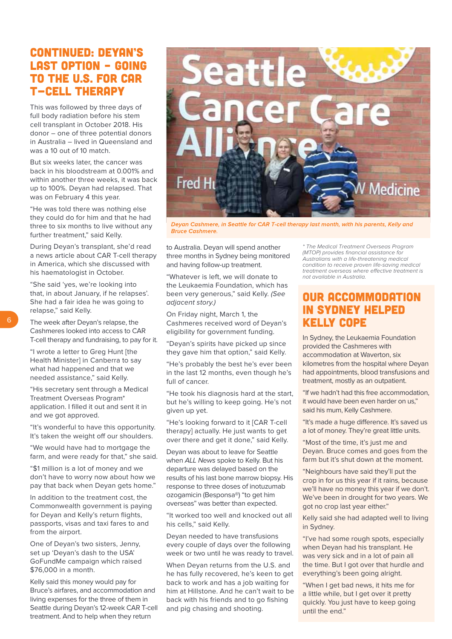# CONTINUED: DEYAN'S LAST OPTION – GOING TO THE U.S. FOR CAR T-CELL THERAPY

This was followed by three days of full body radiation before his stem cell transplant in October 2018. His donor – one of three potential donors in Australia – lived in Queensland and was a 10 out of 10 match.

But six weeks later, the cancer was back in his bloodstream at 0.001% and within another three weeks, it was back up to 100%. Deyan had relapsed. That was on February 4 this year.

"He was told there was nothing else they could do for him and that he had three to six months to live without any further treatment," said Kelly.

During Deyan's transplant, she'd read a news article about CAR T-cell therapy in America, which she discussed with his haematologist in October.

"She said 'yes, we're looking into that, in about January, if he relapses'. She had a fair idea he was going to relapse," said Kelly.

The week after Deyan's relapse, the Cashmeres looked into access to CAR T-cell therapy and fundraising, to pay for it.

"I wrote a letter to Greg Hunt [the Health Minister] in Canberra to say what had happened and that we needed assistance," said Kelly.

"His secretary sent through a Medical Treatment Overseas Program\* application. I filled it out and sent it in and we got approved.

"It's wonderful to have this opportunity. It's taken the weight off our shoulders.

"We would have had to mortgage the farm, and were ready for that," she said.

"\$1 million is a lot of money and we don't have to worry now about how we pay that back when Deyan gets home."

In addition to the treatment cost, the Commonwealth government is paying for Deyan and Kelly's return flights, passports, visas and taxi fares to and from the airport.

One of Deyan's two sisters, Jenny, set up 'Deyan's dash to the USA' GoFundMe campaign which raised \$76,000 in a month.

Kelly said this money would pay for Bruce's airfares, and accommodation and living expenses for the three of them in Seattle during Deyan's 12-week CAR T-cell treatment. And to help when they return



Deyan Cashmere, in Seattle for CAR T-cell therapy last month, with his parents, Kelly and **Bruce Cashmere.** 

to Australia. Deyan will spend another three months in Sydney being monitored and having follow-up treatment.

"Whatever is left, we will donate to the Leukaemia Foundation, which has been very generous," said Kelly. (See adjacent story.)

On Friday night, March 1, the Cashmeres received word of Deyan's eligibility for government funding.

"Deyan's spirits have picked up since they gave him that option," said Kelly.

"He's probably the best he's ever been in the last 12 months, even though he's full of cancer.

"He took his diagnosis hard at the start, but he's willing to keep going. He's not given up yet.

"He's looking forward to it [CAR T-cell therapy] actually. He just wants to get over there and get it done," said Kelly.

Deyan was about to leave for Seattle when ALL News spoke to Kelly. But his departure was delayed based on the results of his last bone marrow biopsy. His response to three doses of inotuzumab ozogamicin (Besponsa®) "to get him overseas" was better than expected.

"It worked too well and knocked out all his cells," said Kelly.

Deyan needed to have transfusions every couple of days over the following week or two until he was ready to travel.

When Deyan returns from the U.S. and he has fully recovered, he's keen to get back to work and has a job waiting for him at Hillstone. And he can't wait to be back with his friends and to go fishing and pig chasing and shooting.

\* The Medical Treatment Overseas Program (MTOP) provides financial assistance for Australians with a life-threatening medical condition to receive proven life-saving medical treatment overseas where effective treatment is not available in Australia.

### OUR ACCOMMODATION IN SYDNEY HELPED KELLY COPE

In Sydney, the Leukaemia Foundation provided the Cashmeres with accommodation at Waverton, six kilometres from the hospital where Deyan had appointments, blood transfusions and treatment, mostly as an outpatient.

"If we hadn't had this free accommodation, it would have been even harder on us," said his mum, Kelly Cashmere.

"It's made a huge difference. It's saved us a lot of money. They're great little units.

"Most of the time, it's just me and Deyan. Bruce comes and goes from the farm but it's shut down at the moment.

"Neighbours have said they'll put the crop in for us this year if it rains, because we'll have no money this year if we don't. We've been in drought for two years. We got no crop last year either."

Kelly said she had adapted well to living in Sydney.

"I've had some rough spots, especially when Deyan had his transplant. He was very sick and in a lot of pain all the time. But I got over that hurdle and everything's been going alright.

"When I get bad news, it hits me for a little while, but I get over it pretty quickly. You just have to keep going until the end."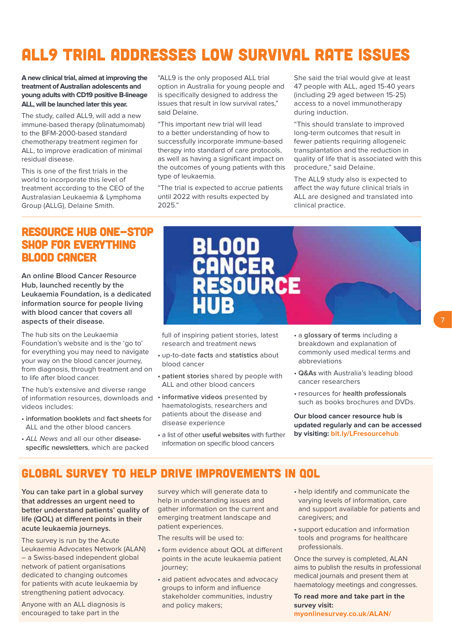# ALL9 TRIAL ADDRESSES LOW SURVIVAL RATE ISSUES

**A new clinical trial, aimed at improving the treatment of Australian adolescents and young adults with CD19 positive B-lineage ALL, will be launched later this year.** 

The study, called ALL9, will add a new immune-based therapy (blinatumomab) to the BFM-2000-based standard chemotherapy treatment regimen for ALL, to improve eradication of minimal residual disease.

This is one of the first trials in the world to incorporate this level of treatment according to the CEO of the Australasian Leukaemia & Lymphoma Group (ALLG), Delaine Smith.

"ALL9 is the only proposed ALL trial option in Australia for young people and is specifically designed to address the issues that result in low survival rates," said Delaine.

"This important new trial will lead to a better understanding of how to successfully incorporate immune-based therapy into standard of care protocols, as well as having a significant impact on the outcomes of young patients with this type of leukaemia.

"The trial is expected to accrue patients until 2022 with results expected by 2025."

She said the trial would give at least 47 people with ALL, aged 15-40 years (including 29 aged between 15-25) access to a novel immunotherapy during induction.

"This should translate to improved long-term outcomes that result in fewer patients requiring allogeneic transplantation and the reduction in quality of life that is associated with this procedure," said Delaine.

The ALL9 study also is expected to affect the way future clinical trials in ALL are designed and translated into clinical practice.

### RESOURCE HUB ONE-STOP SHOP FOR EVERYTHING BLOOD CANCER

**An online Blood Cancer Resource Hub, launched recently by the Leukaemia Foundation, is a dedicated information source for people living with blood cancer that covers all aspects of their disease.** 

The hub sits on the Leukaemia Foundation's website and is the 'go to' for everything you may need to navigate your way on the blood cancer journey, from diagnosis, through treatment and on to life after blood cancer.

The hub's extensive and diverse range of information resources, downloads and • **informative videos** presented by videos includes:

- • **information booklets** and **fact sheets** for ALL and the other blood cancers
- • ALL News and all our other **diseasespecific newsletters**, which are packed



full of inspiring patient stories, latest research and treatment news

- • up-to-date **facts** and **statistics** about blood cancer
- • **patient stories** shared by people with ALL and other blood cancers
- haematologists, researchers and patients about the disease and disease experience
- • a list of other **useful websites** with further information on specific blood cancers
- • a **glossary of terms** including a breakdown and explanation of commonly used medical terms and abbreviations
- • **Q&As** with Australia's leading blood cancer researchers
- • resources for **health professionals** such as books brochures and DVDs.

**Our blood cancer resource hub is updated regularly and can be accessed by visiting: <bit.ly/LFresourcehub>**

### GLOBAL SURVEY TO HELP DRIVE IMPROVEMENTS IN QOL

**You can take part in a global survey that addresses an urgent need to better understand patients' quality of life (QOL) at different points in their acute leukaemia journeys.**

The survey is run by the Acute Leukaemia Advocates Network (ALAN) – a Swiss-based independent global network of patient organisations dedicated to changing outcomes for patients with acute leukaemia by strengthening patient advocacy.

Anyone with an ALL diagnosis is encouraged to take part in the

survey which will generate data to help in understanding issues and gather information on the current and emerging treatment landscape and patient experiences.

The results will be used to:

- form evidence about QOL at different points in the acute leukaemia patient journey;
- aid patient advocates and advocacy groups to inform and influence stakeholder communities, industry and policy makers;
- • help identify and communicate the varying levels of information, care and support available for patients and caregivers; and
- • support education and information tools and programs for healthcare professionals.

Once the survey is completed, ALAN aims to publish the results in professional medical journals and present them at haematology meetings and congresses.

**To read more and take part in the survey visit: <myonlinesurvey.co.uk/ALAN/>**